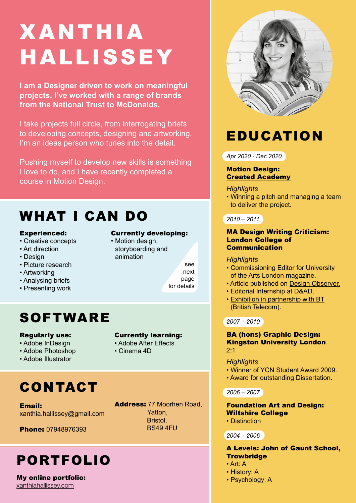# XANTHIA HALLISSEY

**I am a Designer driven to work on meaningful projects. I've worked with a range of brands from the National Trust to McDonalds.**

I take projects full circle, from interrogating briefs to developing concepts, designing and artworking. I'm an ideas person who tunes into the detail.

Pushing myself to develop new skills is something I love to do, and I have recently completed a course in Motion Design.

## WHAT I CAN DO

#### Experienced:

- Creative concepts
- Art direction
- Design
- Picture research
- Artworking
- Analysing briefs
- Presenting work

## SOFTWARE

#### Regularly use:

- Adobe InDesign
- Adobe Photoshop
- Adobe Illustrator

## CONTACT

Email: xanthia.hallissey@gmail.com

Phone: 07948976393

## PORTFOLIO

#### My online portfolio: [xanthiahallissey.com](https://www.xanthiahallissey.com/)

Currently developing:

• Motion design, storyboarding and

animation

see next page for details

- Currently learning: • Adobe After Effects
- 
- Cinema 4D

#### Address: 77 Moorhen Road, Yatton, Bristol, BS49 4FU

## **EDUCATION**

*Apr 2020 - Dec 2020*

#### Motion Design: [Created Academy](https://www.created.academy/)

#### *Highlights*

• Winning a pitch and managing a team to deliver the project.

#### *2010 – 2011*

#### MA Design Writing Criticism: London College of Communication

#### *Highlights*

- Commissioning Editor for University of the Arts London magazine.
- Article published on [Design Observer](http://designobserver.com/profile.php?id=352&name=XanthiaHallissey).
- Editorial Internship at D&AD.
- [Exhibition in partnership with BT](https://www.artrabbit.com/events/seeing-voices-inside-bt-archives) (British Telecom).

#### *2007 – 2010*

#### BA (hons) Graphic Design: Kingston University London 2:1

#### *Highlights*

- Winner of [YCN](https://www.ycn.org/) Student Award 2009.
- Award for outstanding Dissertation.

*2006 – 2007*

#### Foundation Art and Design: Wiltshire College

• Distinction

*2004 – 2006*

#### A Levels: John of Gaunt School, **Trowbridge**

- Art: A
- History: A
- Psychology: A